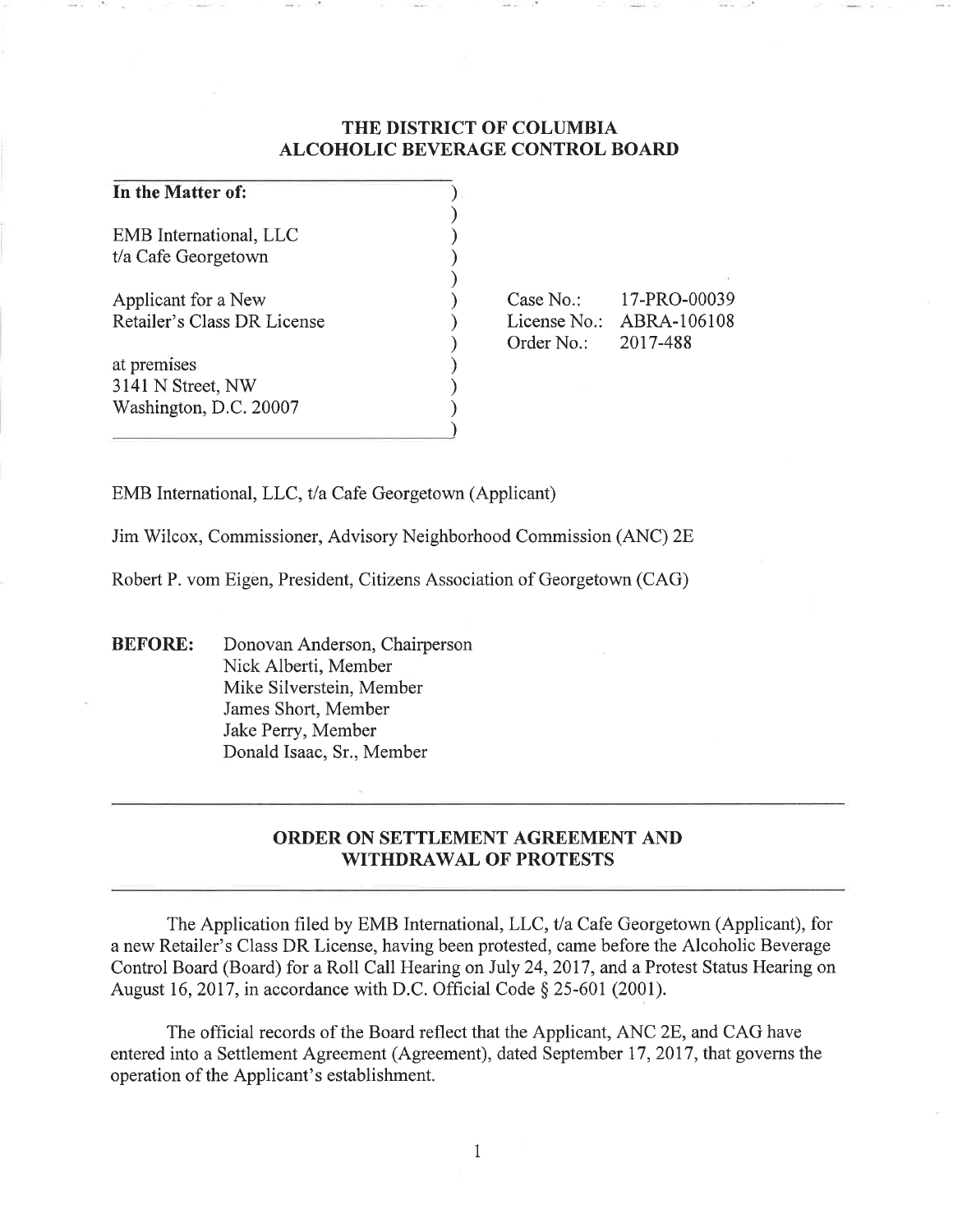# **THE DISTRICT OF COLUMBIA ALCOHOLIC BEVERAGE CONTROL BOARD**

| In the Matter of:           |              |              |
|-----------------------------|--------------|--------------|
| EMB International, LLC      |              |              |
| t/a Cafe Georgetown         |              |              |
|                             |              |              |
| Applicant for a New         | Case $No.$ : | 17-PRO-00039 |
| Retailer's Class DR License | License No.: | ABRA-106108  |
|                             | Order No.:   | 2017-488     |
| at premises                 |              |              |
| 3141 N Street, NW           |              |              |
| Washington, D.C. 20007      |              |              |
|                             |              |              |

EMB International, LLC, t/a Cafe Georgetown (Applicant)

Jim Wilcox, Commissioner, Advisory Neighborhood Commission (ANC) 2E

Robert P. vom Eigen, President, Citizens Association of Georgetown (CAG)

**BEFORE:** Donovan Anderson, Chairperson Nick Alberti, Member Mike Silverstein, Member James Short, Member Jake Perry, Member Donald Isaac, Sr., Member

# **ORDER ON SETTLEMENT AGREEMENT AND WITHDRAWAL OF PROTESTS**

The Application filed by EMB International, LLC, t/a Cafe Georgetown (Applicant), for a new Retailer's Class DR License, having been protested, came before the Alcoholic Beverage Control Board (Board) for a Roll Call Hearing on July 24, 2017, and a Protest Status Hearing on August 16, 2017, in accordance with D.C. Official Code§ 25-601 (2001).

The official records of the Board reflect that the Applicant, ANC 2E, and CAG have entered into a Settlement Agreement (Agreement), dated September 17, 2017, that governs the operation of the Applicant's establishment.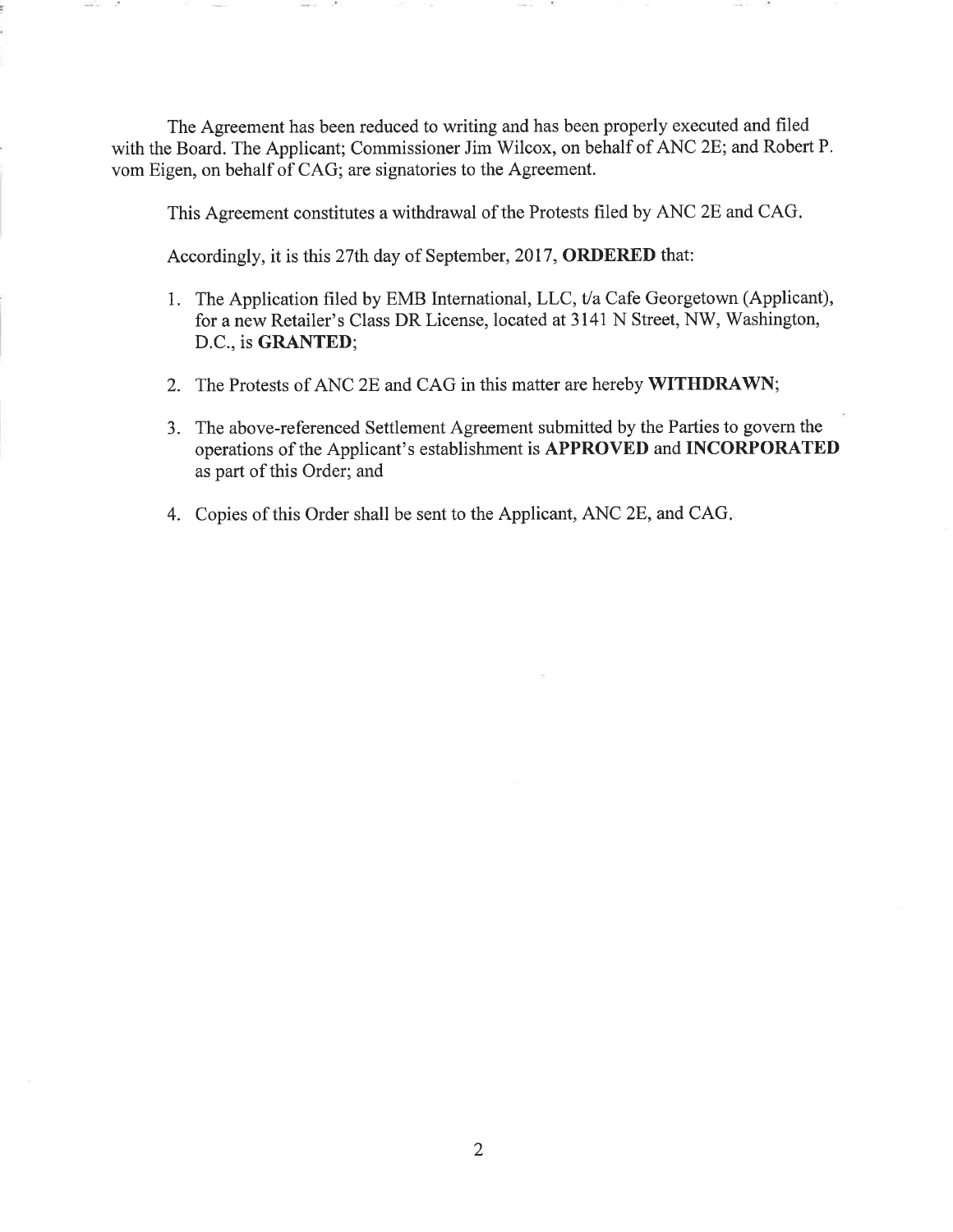The Agreement has been reduced to writing and has been properly executed and filed with the Board. The Applicant; Commissioner Jim Wilcox, on behalf of ANC 2E; and Robert P. vom Eigen, on behalf of CAG; are signatories to the Agreement.

This Agreement constitutes a withdrawal of the Protests filed by ANC 2E and CAG.

Accordingly, it is this 27th day of September, 2017, **ORDERED** that:

- 1. The Application filed by EMB International, LLC, t/a Cafe Georgetown (Applicant), for a new Retailer's Class DR License, located at 3141 N Street, NW, Washington, D.C., is **GRANTED;**
- 2. The Protests of ANC 2E and CAG in this matter are hereby **WITHDRAWN;**
- 3. The above-referenced Settlement Agreement submitted by the Parties to govern the operations of the Applicant's establishment is **APPROVED** and **INCORPORATED**  as part of this Order; and
- 4. Copies of this Order shall be sent to the Applicant, ANC 2E, and CAG.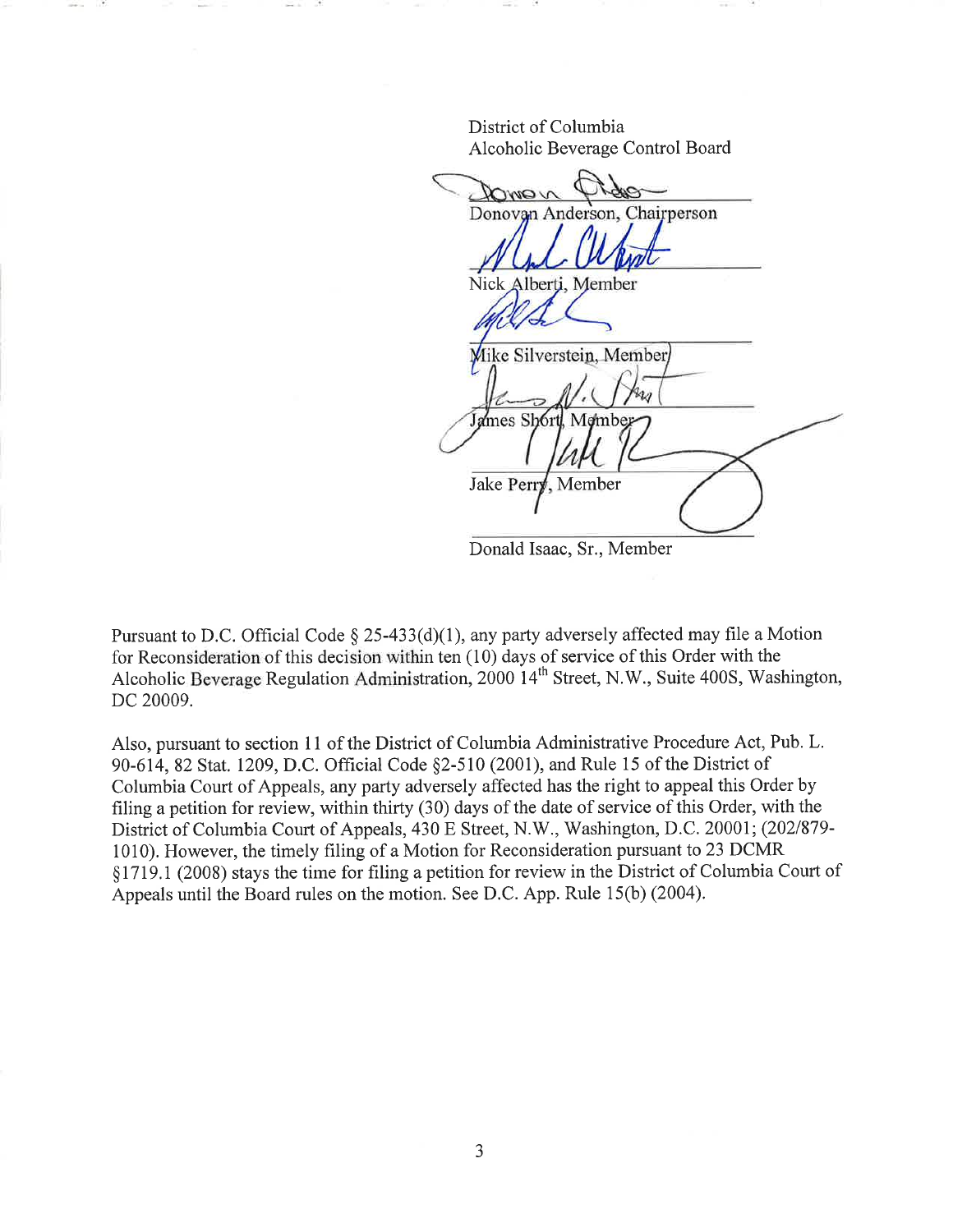District of Columbia Alcoholic Beverage Control Board

VOWOV Donovan Anderson, Chairperson Nick Alberti, Member Mike Silverstein, Member James Sh61 **Jake Perr** Member

Donald Isaac, Sr., Member

Pursuant to D.C. Official Code § 25-433(d)(1), any party adversely affected may file a Motion for Reconsideration of this decision within ten (10) days of service of this Order with the Alcoholic Beverage Regulation Administration, 2000 14<sup>th</sup> Street, N.W., Suite 400S, Washington, DC 20009.

Also, pursuant to section 11 of the District of Columbia Administrative Procedure Act, Pub. L. 90-614, 82 Stat. 1209, D.C. Official Code §2-510 (2001), and Rule 15 of the District of Columbia Court of Appeals, any party adversely affected has the right to appeal this Order by filing a petition for review, within thirty (30) days of the date of service of this Order, with the District of Columbia Court of Appeals, 430 E Street, N.W., Washington, D.C. 20001; (202/879- 1010). However, the timely filing of a Motion for Reconsideration pursuant to 23 DCMR § 1719.1 (2008) stays the time for filing a petition for review in the District of Columbia Court of Appeals until the Board rules on the motion. See D.C. App. Rule 15(b) (2004).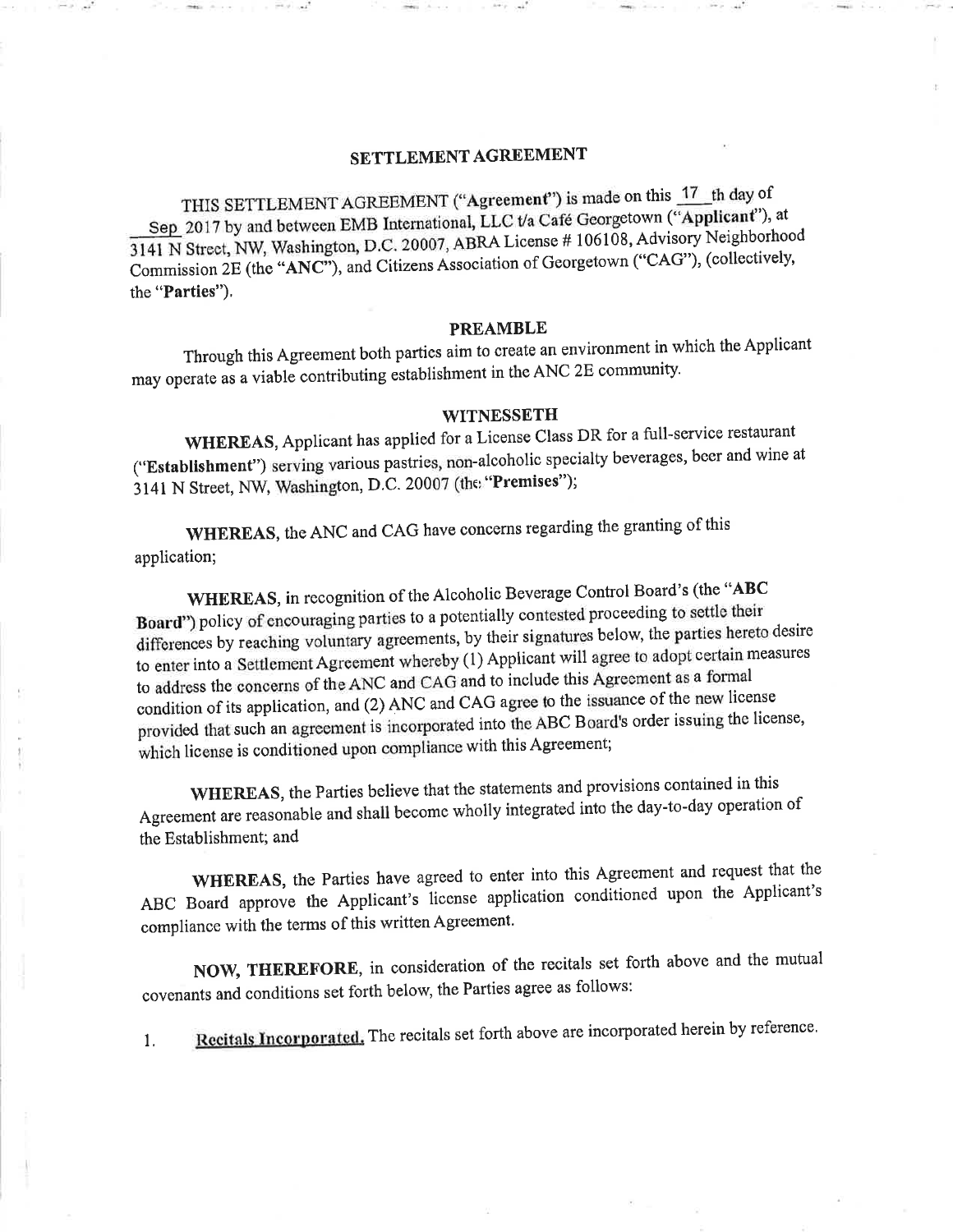# **SETTLEMENT AGREEMENT**

THIS SETTLEMENT AGREEMENT ("Agreement") is made on this  $17$  th day of Sep 2017 by and between EMB International, LLC t/a Cafe Georgetown **("Applicant"),** at 3141 N Street, NW, Washington, D.C. 20007, ABRA License # 106108, Advisory Neighborhood Commission 2E (the **"ANC"),** and Citizens Association of Georgetown ("CAG"), ( collectively, the **"Parties").** 

#### **PREAMBLE**

Through this Agreement both parties aim to create an environment in which the Applicant may operate as a viable contributing establishment in the ANC 2E community.

#### **WITNESSETH**

**WHEREAS,** Applicant has applied for a License Class DR for a full-service restaurant **("Establishment")** serving various pastries, non-alcoholic specialty beverages, beer and wine at 3141 N Street, NW, Washington, D.C. 20007 (the **"Premises");** 

**WHEREAS,** the ANC and CAG have concerns regarding the granting of this application;

**WHEREAS,** in recognition of the Alcoholic Beverage Control Board's (the **"ABC Board")** policy of encouraging parties to a potentially contested proceeding to settle their differences by reaching voluntary agreements, by their signatures below, the parties hereto desire to enter into a Settlement Agreement whereby ( 1) Applicant will agree to adopt certain measures to address the concerns of the ANC and CAG and to include this Agreement as a formal condition of its application, and (2) ANC and CAG agree to the issuance of the new license provided that such an agreement is incorporated into the ABC Board's order issuing the license, which license is conditioned upon compliance with this Agreement;

**WHEREAS,** the Parties believe that the statements and provisions contained in this Agreement are reasonable and shall become wholly integrated into the day-to-day operation of the Establishment; and

**WHEREAS,** the Parties have agreed to enter into this Agreement and request that the ABC Board approve the Applicant's license application conditioned upon the Applicant's compliance with the terms of this written Agreement.

**NOW, THEREFORE,** in consideration of the recitals set forth above and the mutual covenants and conditions set forth below, the Parties agree as follows:

1. **Recitals Incorporated.** The recitals set forth above are incorporated herein by reference.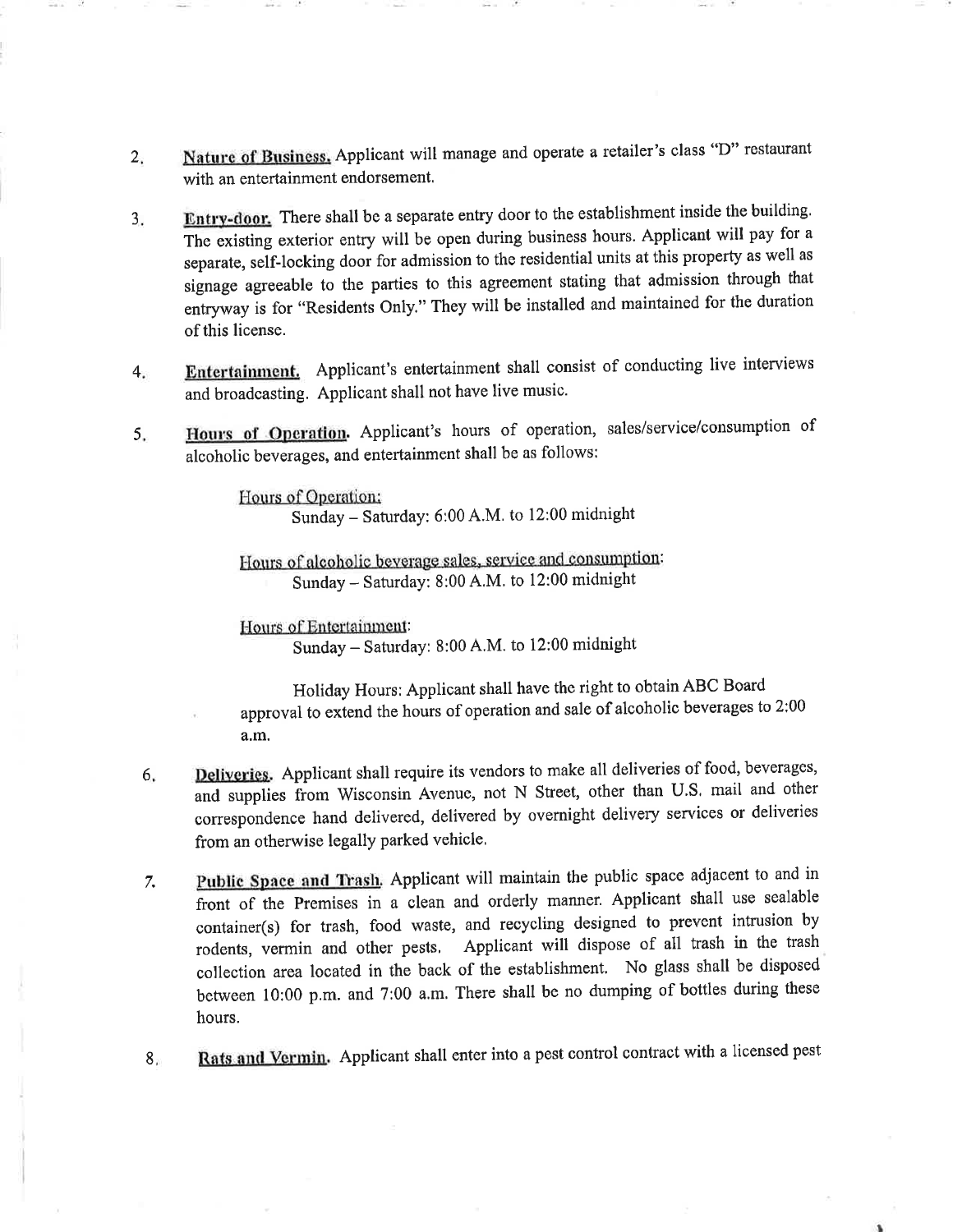- 2. **Nature of Business,** Applicant will manage and operate a retailer's class "D" restaurant with an entertainment endorsement.
- 3. **Entry-door.** There shall be a separate entry door to the establishment inside the building. The existing exterior entry will be open during business hours. Applicant will pay for a separate, self-locking door for admission to the residential units at this property as well as signage agreeable to the parties to this agreement stating that admission through that entryway is for "Residents Only." They will be installed and maintained for the duration of this license.
- 4. **Entertainment.** Applicant's entertainment shall consist of conducting live interviews and broadcasting. Applicant shall not have live music.
- 5. **Hours of Operation.** Applicant's hours of operation, sales/service/consumption of alcoholic beverages, and entertainment shall be as follows:

Hours of Operation: Sunday- Saturday: 6:00 A.M. to 12:00 midnight

Hours of alcoholic beverage sales, service and consumption: Sunday-Saturday: 8:00 A.M. to 12:00 midnight

Hours of Entertainment: Sunday- Saturday: 8:00 A.M. to 12:00 midnight

Holiday Hours: Applicant shall have the right to obtain ABC Board approval to extend the hours of operation and sale of alcoholic beverages to 2:00 a.m.

- 6. **Deliveries.** Applicant shall require its vendors to make all deliveries of food, beverages, and supplies from Wisconsin Avenue, not N Street, other than U.S. mail and other correspondence hand delivered, delivered by overnight delivery services or deliveries from an otherwise legally parked vehicle.
- 7. **Public Space and Trash.** Applicant will maintain the public space adjacent to and in front of the Premises in a clean and orderly manner. Applicant shall use sealable container(s) for trash, food waste, and recycling designed to prevent intrusion by rodents, vermin and other pests. Applicant will dispose of all trash in the trash coJlection area located in the back of the establishment. No glass shall be disposed between 10:00 p.m. and 7:00 a.m. There shall be no dumping of bottles during these hours.
- 8. **Rats and Vermin.** Applicant shall enter into a pest control contract with a licensed pest

'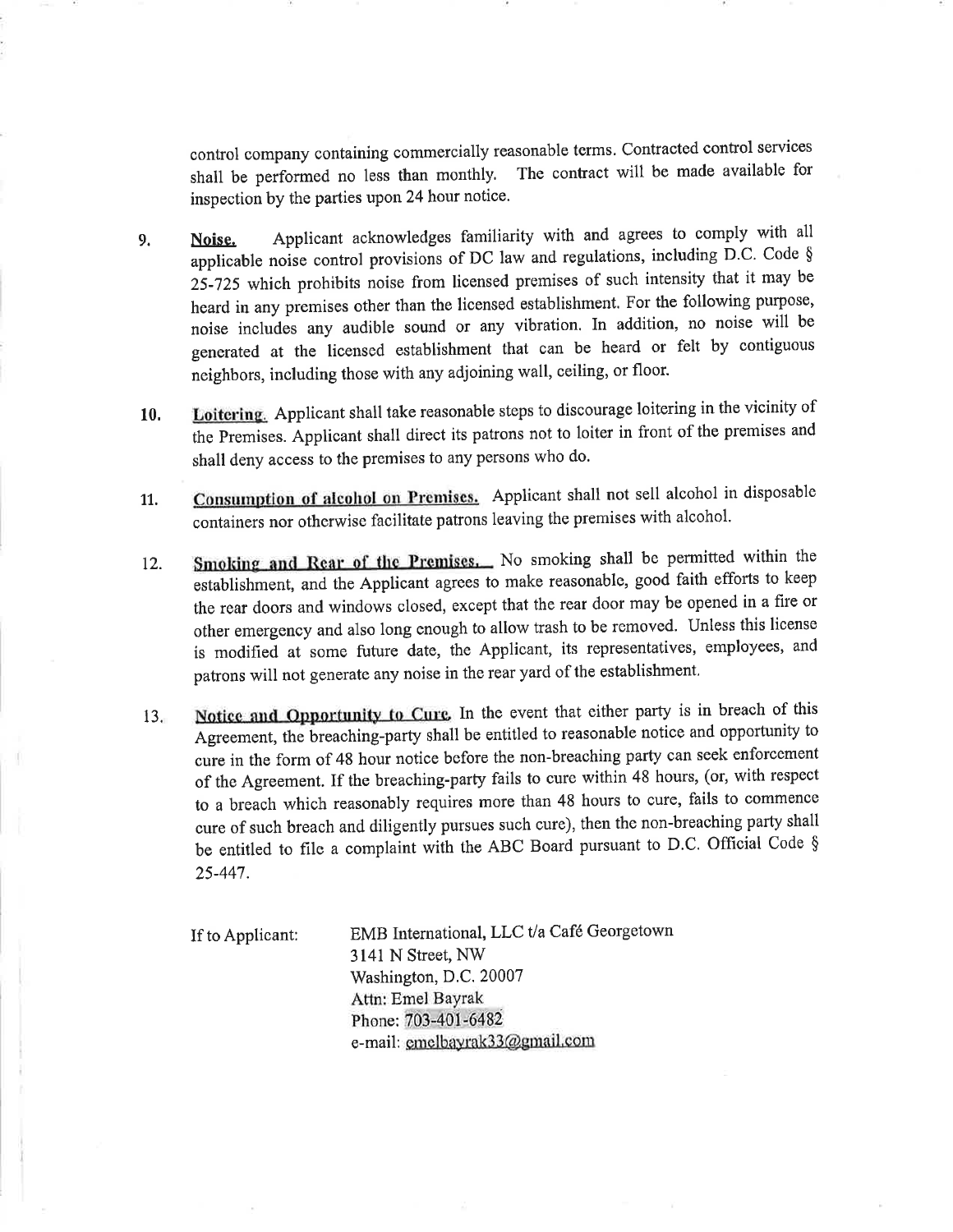control company containing commercially reasonable terms. Contracted control services shall be performed no less than monthly. The contract will be made available for inspection by the parties upon 24 hour notice.

- 9. Noise, Applicant acknowledges familiarity with and agrees to comply with all applicable noise control provisions of DC law and regulations, including D.C. Code § 25-725 which prohibits noise from licensed premises of such intensity that it may be heard in any premises other than the licensed establishment. For the following purpose, noise includes any audible sound or any vibration. In addition, no noise will be generated at the licensed establishment that can be heard or felt by contiguous neighbors, including those with any adjoining wall, ceiling, or floor.
- **10. Loitering.** Applicant shall take reasonable steps to discourage loitering in the vicinity of the Premises. Applicant shall direct its patrons not to loiter in front of the premises and shall deny access to the premises to any persons who do.
- 11. Consumption of alcohol on Premises. Applicant shall not sell alcohol in disposable containers nor otherwise facilitate patrons leaving the premises with alcohol.
- 12. **Smoking and Rear of the Premises.** No smoking shall be permitted within the establishment, and the Applicant agrees to make reasonable, good faith efforts to keep the rear doors and windows closed, except that the rear door may be opened in a fire or other emergency and also long enough to allow trash to be removed. Unless this license is modified at some future date, the Applicant, its representatives, employees, and patrons will not generate any noise in the rear yard of the establishment.
- 13. Notice and Opportunity to Cure. In the event that either party is in breach of this Agreement, the breaching-party shall be entitled to reasonable notice and opportunity to cure in the form of 48 hour notice before the non-breaching party can seek enforcement of the Agreement. If the breaching-party fails to cure within 48 hours, (or, with respect to a breach which reasonably requires more than 48 hours to cure, fails to commence cure of such breach and diligently pursues such cure), then the non-breaching party shall be entitled to file a complaint with the ABC Board pursuant to D.C. Official Code § 25-447.

If to Applicant: EMB International, LLC t/a Cafe Georgetown 3141 N Street, NW Washington, D.C. 20007 Attn: Emel Bayrak Phone: 703-401-6482 e-mail: emelbayrak33@gmail.com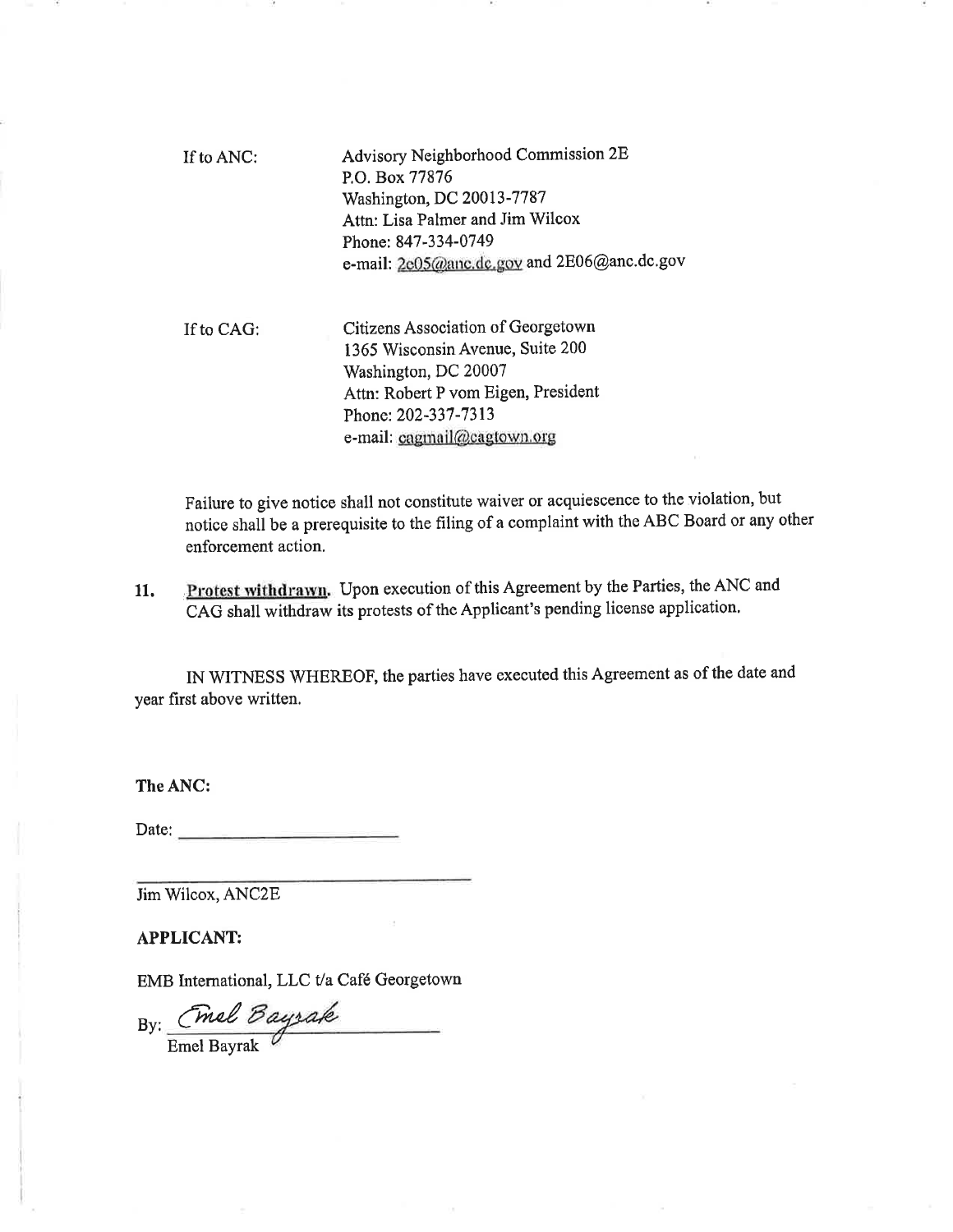| If to ANC: | Advisory Neighborhood Commission 2E         |
|------------|---------------------------------------------|
|            | P.O. Box 77876                              |
|            | Washington, DC 20013-7787                   |
|            | Attn: Lisa Palmer and Jim Wilcox            |
|            | Phone: 847-334-0749                         |
|            | e-mail: 2e05@anc.dc.gov and 2E06@anc.dc.gov |
|            |                                             |

If to CAG: Citizens Association of Georgetown 1365 Wisconsin Avenue, Suite 200 Washington, DC 20007 Attn: Robert P vom Eigen, President Phone: 202-337-7313 e-mail: cagmail@cagtown.org

Failure to give notice shall not constitute waiver or acquiescence to the violation, but notice shall be a prerequisite to the filing of a complaint with the ABC Board or any other enforcement action.

**11. .Protest withdrawn.** Upon execution of this Agreement by the Parties, the ANC and CAG shall withdraw its protests of the Applicant's pending license application.

IN WITNESS WHEREOF, the parties have executed this Agreement as of the date and year first above written.

**TheANC:** 

Date: -----------

Jim Wilcox, ANC2E

**APPLICANT:** 

EMB International, LLC t/a Cafe Georgetown

By: Cmal *Daysak* 

Emel Bayrak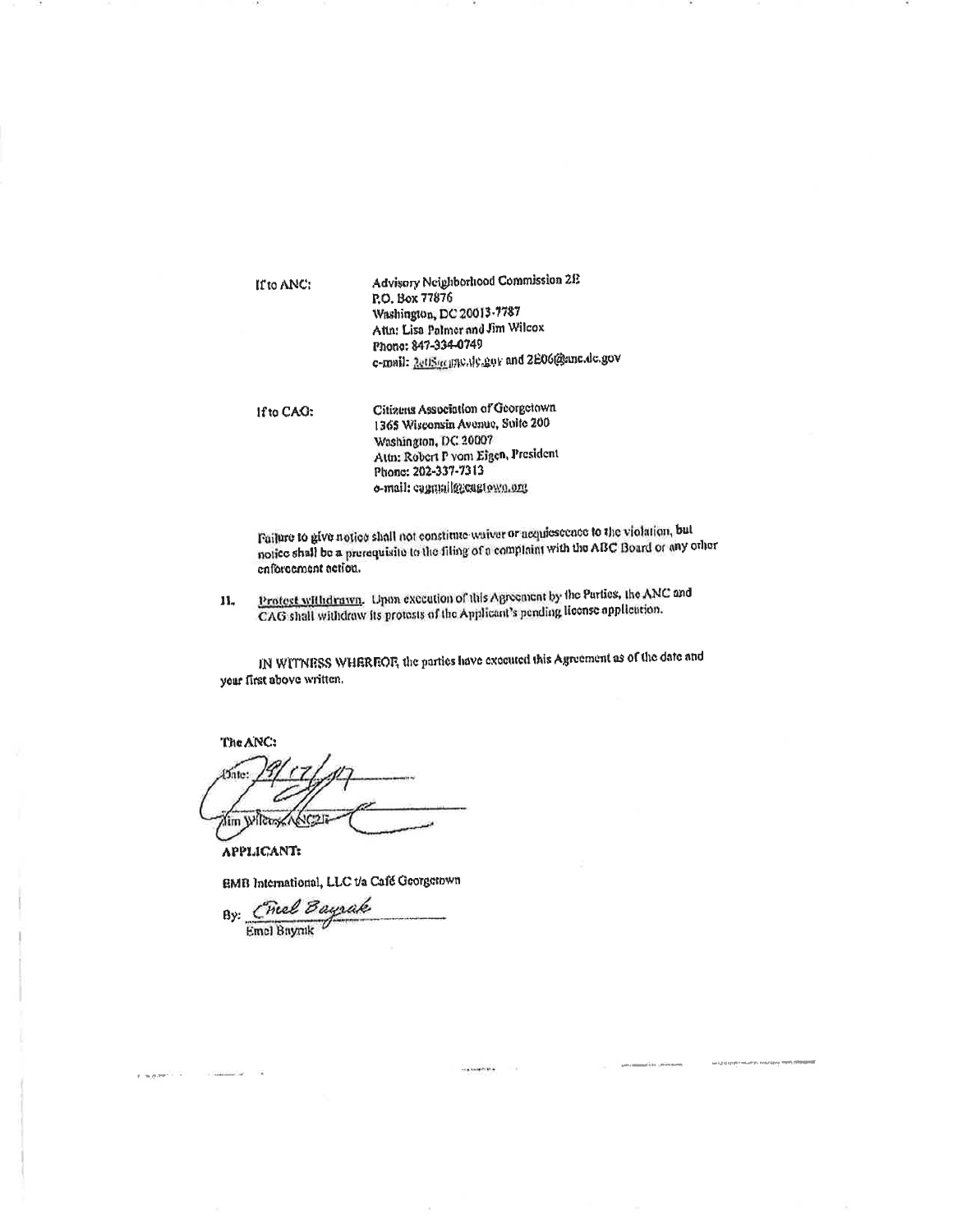| If to ANC: | Advisory Neighborhood Commission 2E<br>P.O. Box 77876<br>Washington, DC 20013-7787<br>Attn: Lisa Palmer and Jim Wilcox<br>Phone: 847-334-0749<br>c-mail: RettSucipte.de.gov and 2E06@enc.de.gov |
|------------|-------------------------------------------------------------------------------------------------------------------------------------------------------------------------------------------------|
| If to CAG: | Citizens Association of Georgetown<br>1365 Wisconsin Avenue, Suite 200<br>Washington, DC 20007<br>Attn: Robert P vom Eigen, President<br>Phone: 202-337-7313<br>o-mail: cagmail@cagtown.org     |

Pailure to give notice shall not constitute waiver or acquiescence to the violation, but notice shall be a prerequisite to the filing of a complaint with the ABC Board or any other enforcement action.

Protest withdrawn. Upon execution of this Agreement by the Parties, the ANC and  $\mathbf{11}_{4}$ CAG shall withdraw its protests of the Applicant's pending license application.

IN WITNESS WHEREOF, the parties have executed this Agreement as of the date and your first above written.

 $...$  , and it is a

MALLET EN PHONICAP DE POSTSINA TERM

The ANC: f5nte: lim Wilcose んでった

**APPLICANT:** 

water in the

EMB International, LLC t/a Café Georgetown

By: Chiel Bayrak